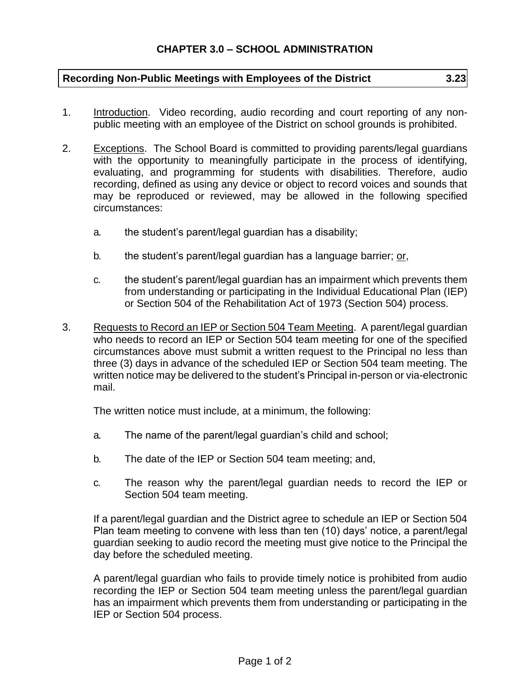## **Recording Non-Public Meetings with Employees of the District 3.23**

- 1. Introduction. Video recording, audio recording and court reporting of any nonpublic meeting with an employee of the District on school grounds is prohibited.
- 2. Exceptions. The School Board is committed to providing parents/legal guardians with the opportunity to meaningfully participate in the process of identifying, evaluating, and programming for students with disabilities. Therefore, audio recording, defined as using any device or object to record voices and sounds that may be reproduced or reviewed, may be allowed in the following specified circumstances:
	- a. the student's parent/legal guardian has a disability;
	- b. the student's parent/legal guardian has a language barrier; or,
	- c. the student's parent/legal guardian has an impairment which prevents them from understanding or participating in the Individual Educational Plan (IEP) or Section 504 of the Rehabilitation Act of 1973 (Section 504) process.
- 3. Requests to Record an IEP or Section 504 Team Meeting. A parent/legal guardian who needs to record an IEP or Section 504 team meeting for one of the specified circumstances above must submit a written request to the Principal no less than three (3) days in advance of the scheduled IEP or Section 504 team meeting. The written notice may be delivered to the student's Principal in-person or via-electronic mail.

The written notice must include, at a minimum, the following:

- a. The name of the parent/legal guardian's child and school;
- b. The date of the IEP or Section 504 team meeting; and,
- c. The reason why the parent/legal guardian needs to record the IEP or Section 504 team meeting.

If a parent/legal guardian and the District agree to schedule an IEP or Section 504 Plan team meeting to convene with less than ten (10) days' notice, a parent/legal guardian seeking to audio record the meeting must give notice to the Principal the day before the scheduled meeting.

A parent/legal guardian who fails to provide timely notice is prohibited from audio recording the IEP or Section 504 team meeting unless the parent/legal guardian has an impairment which prevents them from understanding or participating in the IEP or Section 504 process.